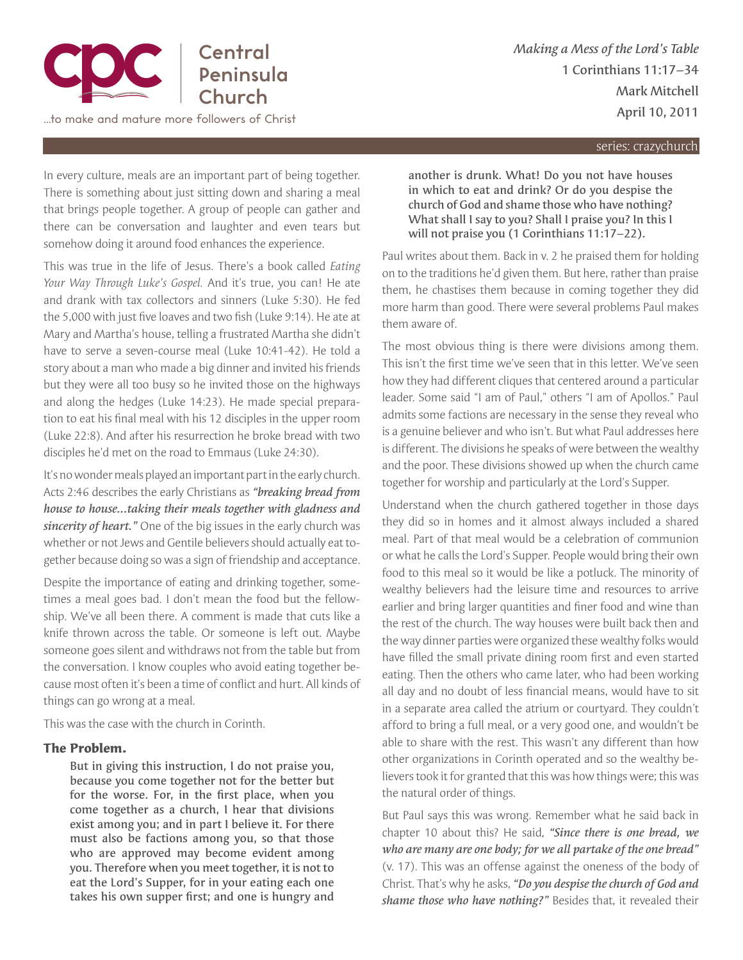

series: crazychurch

In every culture, meals are an important part of being together. There is something about just sitting down and sharing a meal that brings people together. A group of people can gather and there can be conversation and laughter and even tears but somehow doing it around food enhances the experience.

This was true in the life of Jesus. There's a book called *Eating Your Way Through Luke's Gospel.* And it's true, you can! He ate and drank with tax collectors and sinners (Luke 5:30). He fed the 5,000 with just five loaves and two fish (Luke 9:14). He ate at Mary and Martha's house, telling a frustrated Martha she didn't have to serve a seven-course meal (Luke 10:41-42). He told a story about a man who made a big dinner and invited his friends but they were all too busy so he invited those on the highways and along the hedges (Luke 14:23). He made special preparation to eat his final meal with his 12 disciples in the upper room (Luke 22:8). And after his resurrection he broke bread with two disciples he'd met on the road to Emmaus (Luke 24:30).

It's no wonder meals played an important part in the early church. Acts 2:46 describes the early Christians as *"breaking bread from house to house...taking their meals together with gladness and sincerity of heart."* One of the big issues in the early church was whether or not Jews and Gentile believers should actually eat together because doing so was a sign of friendship and acceptance.

Despite the importance of eating and drinking together, sometimes a meal goes bad. I don't mean the food but the fellowship. We've all been there. A comment is made that cuts like a knife thrown across the table. Or someone is left out. Maybe someone goes silent and withdraws not from the table but from the conversation. I know couples who avoid eating together because most often it's been a time of conflict and hurt. All kinds of things can go wrong at a meal.

This was the case with the church in Corinth.

## **The Problem.**

But in giving this instruction, I do not praise you, because you come together not for the better but for the worse. For, in the first place, when you come together as a church, I hear that divisions exist among you; and in part I believe it. For there must also be factions among you, so that those who are approved may become evident among you. Therefore when you meet together, it is not to eat the Lord's Supper, for in your eating each one takes his own supper first; and one is hungry and

another is drunk. What! Do you not have houses in which to eat and drink? Or do you despise the church of God and shame those who have nothing? What shall I say to you? Shall I praise you? In this I will not praise you (1 Corinthians 11:17–22).

Paul writes about them. Back in v. 2 he praised them for holding on to the traditions he'd given them. But here, rather than praise them, he chastises them because in coming together they did more harm than good. There were several problems Paul makes them aware of.

The most obvious thing is there were divisions among them. This isn't the first time we've seen that in this letter. We've seen how they had different cliques that centered around a particular leader. Some said "I am of Paul," others "I am of Apollos." Paul admits some factions are necessary in the sense they reveal who is a genuine believer and who isn't. But what Paul addresses here is different. The divisions he speaks of were between the wealthy and the poor. These divisions showed up when the church came together for worship and particularly at the Lord's Supper.

Understand when the church gathered together in those days they did so in homes and it almost always included a shared meal. Part of that meal would be a celebration of communion or what he calls the Lord's Supper. People would bring their own food to this meal so it would be like a potluck. The minority of wealthy believers had the leisure time and resources to arrive earlier and bring larger quantities and finer food and wine than the rest of the church. The way houses were built back then and the way dinner parties were organized these wealthy folks would have filled the small private dining room first and even started eating. Then the others who came later, who had been working all day and no doubt of less financial means, would have to sit in a separate area called the atrium or courtyard. They couldn't afford to bring a full meal, or a very good one, and wouldn't be able to share with the rest. This wasn't any different than how other organizations in Corinth operated and so the wealthy believers took it for granted that this was how things were; this was the natural order of things.

But Paul says this was wrong. Remember what he said back in chapter 10 about this? He said, *"Since there is one bread, we who are many are one body; for we all partake of the one bread"*  (v. 17). This was an offense against the oneness of the body of Christ. That's why he asks, *"Do you despise the church of God and shame those who have nothing?"* Besides that, it revealed their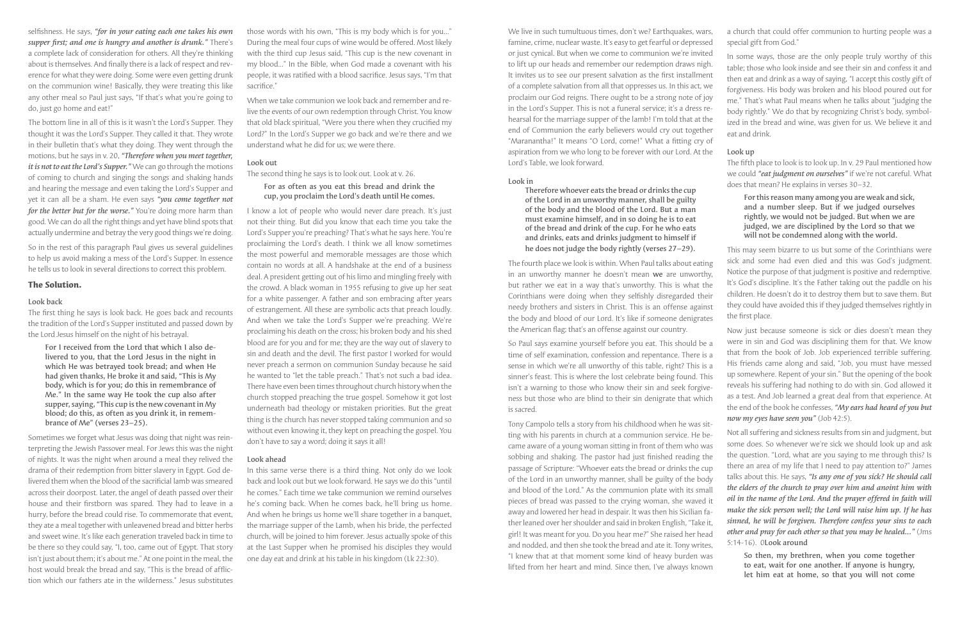selfishness. He says, *"for in your eating each one takes his own supper first; and one is hungry and another is drunk."* There's a complete lack of consideration for others. All they're thinking about is themselves. And finally there is a lack of respect and reverence for what they were doing. Some were even getting drunk on the communion wine! Basically, they were treating this like any other meal so Paul just says, "If that's what you're going to do, just go home and eat!"

The bottom line in all of this is it wasn't the Lord's Supper. They thought it was the Lord's Supper. They called it that. They wrote in their bulletin that's what they doing. They went through the motions, but he says in v. 20, *"Therefore when you meet together, it is not to eat the Lord's Supper."* We can go through the motions of coming to church and singing the songs and shaking hands and hearing the message and even taking the Lord's Supper and yet it can all be a sham. He even says *"you come together not for the better but for the worse."* You're doing more harm than good. We can do all the right things and yet have blind spots that actually undermine and betray the very good things we're doing.

So in the rest of this paragraph Paul gives us several guidelines to help us avoid making a mess of the Lord's Supper. In essence he tells us to look in several directions to correct this problem.

## **The Solution.**

#### Look back

The first thing he says is look back. He goes back and recounts the tradition of the Lord's Supper instituted and passed down by the Lord Jesus himself on the night of his betrayal.

When we take communion we look back and remember and relive the events of our own redemption through Christ. You know that old black spiritual, "Were you there when they crucified my Lord?" In the Lord's Supper we go back and we're there and we understand what he did for us; we were there.

For I received from the Lord that which I also delivered to you, that the Lord Jesus in the night in which He was betrayed took bread; and when He had given thanks, He broke it and said, "This is My body, which is for you; do this in remembrance of Me." In the same way He took the cup also after supper, saying, "This cup is the new covenant in My blood; do this, as often as you drink it, in remembrance of Me" (verses 23–25).

Sometimes we forget what Jesus was doing that night was reinterpreting the Jewish Passover meal. For Jews this was the night of nights. It was the night when around a meal they relived the drama of their redemption from bitter slavery in Egypt. God delivered them when the blood of the sacrificial lamb was smeared across their doorpost. Later, the angel of death passed over their house and their firstborn was spared. They had to leave in a hurry, before the bread could rise. To commemorate that event, they ate a meal together with unleavened bread and bitter herbs and sweet wine. It's like each generation traveled back in time to be there so they could say, "I, too, came out of Egypt. That story isn't just about them; it's about me." At one point in the meal, the host would break the bread and say, "This is the bread of affliction which our fathers ate in the wilderness." Jesus substitutes

those words with his own, "This is my body which is for you..." During the meal four cups of wine would be offered. Most likely with the third cup Jesus said, "This cup is the new covenant in my blood..." In the Bible, when God made a covenant with his people, it was ratified with a blood sacrifice. Jesus says, "I'm that sacrifice."

## Look out

The second thing he says is to look out. Look at v. 26.

## For as often as you eat this bread and drink the cup, you proclaim the Lord's death until He comes.

I know a lot of people who would never dare preach. It's just not their thing. But did you know that each time you take the Lord's Supper you're preaching? That's what he says here. You're proclaiming the Lord's death. I think we all know sometimes the most powerful and memorable messages are those which contain no words at all. A handshake at the end of a business deal. A president getting out of his limo and mingling freely with the crowd. A black woman in 1955 refusing to give up her seat for a white passenger. A father and son embracing after years of estrangement. All these are symbolic acts that preach loudly. And when we take the Lord's Supper we're preaching. We're proclaiming his death on the cross; his broken body and his shed blood are for you and for me; they are the way out of slavery to sin and death and the devil. The first pastor I worked for would never preach a sermon on communion Sunday because he said he wanted to "let the table preach." That's not such a bad idea. There have even been times throughout church history when the church stopped preaching the true gospel. Somehow it got lost underneath bad theology or mistaken priorities. But the great thing is the church has never stopped taking communion and so without even knowing it, they kept on preaching the gospel. You don't have to say a word; doing it says it all!

We live in such tumultuous times, don't we? Earthquakes, wars, famine, crime, nuclear waste. It's easy to get fearful or depressed or just cynical. But when we come to communion we're invited to lift up our heads and remember our redemption draws nigh. It invites us to see our present salvation as the first installment of a complete salvation from all that oppresses us. In this act, we proclaim our God reigns. There ought to be a strong note of joy in the Lord's Supper. This is not a funeral service; it's a dress rehearsal for the marriage supper of the lamb! I'm told that at the end of Communion the early believers would cry out together "Maranantha!" It means "O Lord, come!" What a fitting cry of aspiration from we who long to be forever with our Lord. At the Lord's Table, we look forward. a church that could offer communion to hurting people was a special gift from God." In some ways, those are the only people truly worthy of this table; those who look inside and see their sin and confess it and then eat and drink as a way of saying, "I accept this costly gift of forgiveness. His body was broken and his blood poured out for me." That's what Paul means when he talks about "judging the body rightly." We do that by recognizing Christ's body, symbolized in the bread and wine, was given for us. We believe it and eat and drink. Look up The fifth place to look is to look up. In v. 29 Paul mentioned how

### Look ahead

In this same verse there is a third thing. Not only do we look back and look out but we look forward. He says we do this "until he comes." Each time we take communion we remind ourselves he's coming back. When he comes back, he'll bring us home. And when he brings us home we'll share together in a banquet, the marriage supper of the Lamb, when his bride, the perfected church, will be joined to him forever. Jesus actually spoke of this at the Last Supper when he promised his disciples they would one day eat and drink at his table in his kingdom (Lk 22:30).

#### Look in

Therefore whoever eats the bread or drinks the cup of the Lord in an unworthy manner, shall be guilty of the body and the blood of the Lord. But a man must examine himself, and in so doing he is to eat of the bread and drink of the cup. For he who eats and drinks, eats and drinks judgment to himself if he does not judge the body rightly (verses 27–29).

The fourth place we look is within. When Paul talks about eating in an unworthy manner he doesn't mean we are unworthy, but rather we eat in a way that's unworthy. This is what the Corinthians were doing when they selfishly disregarded their needy brothers and sisters in Christ. This is an offense against the body and blood of our Lord. It's like if someone denigrates This may seem bizarre to us but some of the Corinthians were sick and some had even died and this was God's judgment. Notice the purpose of that judgment is positive and redemptive. It's God's discipline. It's the Father taking out the paddle on his children. He doesn't do it to destroy them but to save them. But they could have avoided this if they judged themselves rightly in the first place.

the American flag; that's an offense against our country. So Paul says examine yourself before you eat. This should be a time of self examination, confession and repentance. There is a sense in which we're all unworthy of this table, right? This is a sinner's feast. This is where the lost celebrate being found. This isn't a warning to those who know their sin and seek forgiveness but those who are blind to their sin denigrate that which is sacred. Now just because someone is sick or dies doesn't mean they were in sin and God was disciplining them for that. We know that from the book of Job. Job experienced terrible suffering. His friends came along and said, "Job, you must have messed up somewhere. Repent of your sin." But the opening of the book reveals his suffering had nothing to do with sin. God allowed it as a test. And Job learned a great deal from that experience. At the end of the book he confesses, *"My ears had heard of you but now my eyes have seen you"* (Job 42:5).

we could *"eat judgment on ourselves"* if we're not careful. What does that mean? He explains in verses 30–32.

For this reason many among you are weak and sick, and a number sleep. But if we judged ourselves rightly, we would not be judged. But when we are judged, we are disciplined by the Lord so that we will not be condemned along with the world.

Tony Campolo tells a story from his childhood when he was sitting with his parents in church at a communion service. He became aware of a young woman sitting in front of them who was sobbing and shaking. The pastor had just finished reading the passage of Scripture: "Whoever eats the bread or drinks the cup of the Lord in an unworthy manner, shall be guilty of the body and blood of the Lord." As the communion plate with its small pieces of bread was passed to the crying woman, she waved it away and lowered her head in despair. It was then his Sicilian father leaned over her shoulder and said in broken English, "Take it, girl! It was meant for you. Do you hear me?" She raised her head and nodded, and then she took the bread and ate it. Tony writes, "I knew that at that moment some kind of heavy burden was lifted from her heart and mind. Since then, I've always known Not all suffering and sickness results from sin and judgment, but some does. So whenever we're sick we should look up and ask the question. "Lord, what are you saying to me through this? Is there an area of my life that I need to pay attention to?" James talks about this. He says, *"Is any one of you sick? He should call the elders of the church to pray over him and anoint him with oil in the name of the Lord. And the prayer offered in faith will make the sick person well; the Lord will raise him up. If he has sinned, he will be forgiven. Therefore confess your sins to each other and pray for each other so that you may be healed..."* (Jms 5:14-16). 0Look around So then, my brethren, when you come together to eat, wait for one another. If anyone is hungry, let him eat at home, so that you will not come